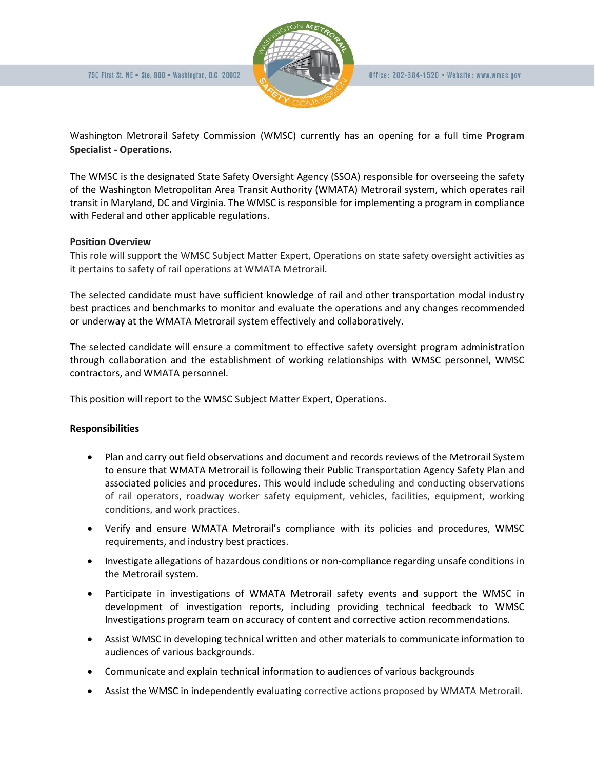

Washington Metrorail Safety Commission (WMSC) currently has an opening for a full time **Program Specialist - Operations.** 

The WMSC is the designated State Safety Oversight Agency (SSOA) responsible for overseeing the safety of the Washington Metropolitan Area Transit Authority (WMATA) Metrorail system, which operates rail transit in Maryland, DC and Virginia. The WMSC is responsible for implementing a program in compliance with Federal and other applicable regulations.

## **Position Overview**

This role will support the WMSC Subject Matter Expert, Operations on state safety oversight activities as it pertains to safety of rail operations at WMATA Metrorail.

The selected candidate must have sufficient knowledge of rail and other transportation modal industry best practices and benchmarks to monitor and evaluate the operations and any changes recommended or underway at the WMATA Metrorail system effectively and collaboratively.

The selected candidate will ensure a commitment to effective safety oversight program administration through collaboration and the establishment of working relationships with WMSC personnel, WMSC contractors, and WMATA personnel.

This position will report to the WMSC Subject Matter Expert, Operations.

# **Responsibilities**

- Plan and carry out field observations and document and records reviews of the Metrorail System to ensure that WMATA Metrorail is following their Public Transportation Agency Safety Plan and associated policies and procedures. This would include scheduling and conducting observations of rail operators, roadway worker safety equipment, vehicles, facilities, equipment, working conditions, and work practices.
- Verify and ensure WMATA Metrorail's compliance with its policies and procedures, WMSC requirements, and industry best practices.
- Investigate allegations of hazardous conditions or non-compliance regarding unsafe conditions in the Metrorail system.
- Participate in investigations of WMATA Metrorail safety events and support the WMSC in development of investigation reports, including providing technical feedback to WMSC Investigations program team on accuracy of content and corrective action recommendations.
- Assist WMSC in developing technical written and other materials to communicate information to audiences of various backgrounds.
- Communicate and explain technical information to audiences of various backgrounds
- Assist the WMSC in independently evaluating corrective actions proposed by WMATA Metrorail.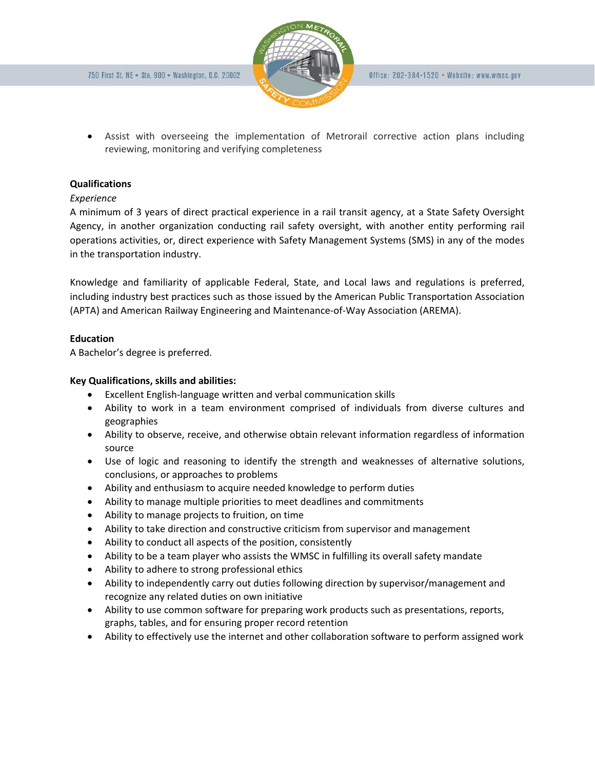

• Assist with overseeing the implementation of Metrorail corrective action plans including reviewing, monitoring and verifying completeness

# **Qualifications**

# *Experience*

A minimum of 3 years of direct practical experience in a rail transit agency, at a State Safety Oversight Agency, in another organization conducting rail safety oversight, with another entity performing rail operations activities, or, direct experience with Safety Management Systems (SMS) in any of the modes in the transportation industry.

Knowledge and familiarity of applicable Federal, State, and Local laws and regulations is preferred, including industry best practices such as those issued by the American Public Transportation Association (APTA) and American Railway Engineering and Maintenance-of-Way Association (AREMA).

# **Education**

A Bachelor's degree is preferred.

# **Key Qualifications, skills and abilities:**

- Excellent English-language written and verbal communication skills
- Ability to work in a team environment comprised of individuals from diverse cultures and geographies
- Ability to observe, receive, and otherwise obtain relevant information regardless of information source
- Use of logic and reasoning to identify the strength and weaknesses of alternative solutions, conclusions, or approaches to problems
- Ability and enthusiasm to acquire needed knowledge to perform duties
- Ability to manage multiple priorities to meet deadlines and commitments
- Ability to manage projects to fruition, on time
- Ability to take direction and constructive criticism from supervisor and management
- Ability to conduct all aspects of the position, consistently
- Ability to be a team player who assists the WMSC in fulfilling its overall safety mandate
- Ability to adhere to strong professional ethics
- Ability to independently carry out duties following direction by supervisor/management and recognize any related duties on own initiative
- Ability to use common software for preparing work products such as presentations, reports, graphs, tables, and for ensuring proper record retention
- Ability to effectively use the internet and other collaboration software to perform assigned work